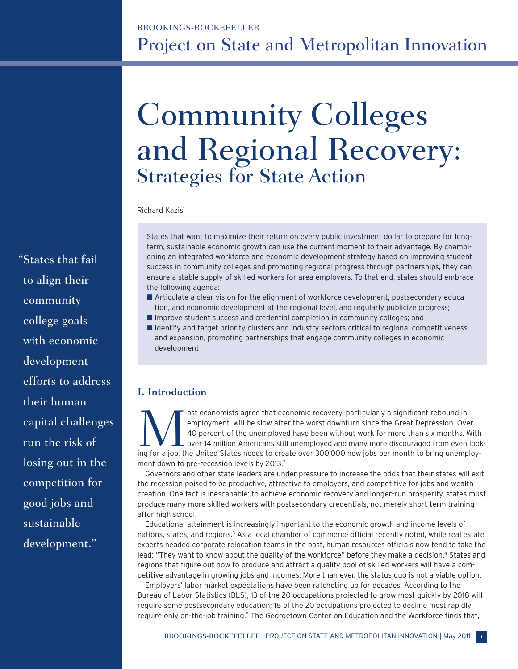# BROOKINGS-ROCKEFELLER Project on State and Metropolitan Innovation

# Community Colleges and Regional Recovery: Strategies for State Action

Richard Kazis<sup>1</sup>

"States that fail to align their community college goals with economic development efforts to address their human capital challenges run the risk of losing out in the competition for good jobs and sustainable development."

States that want to maximize their return on every public investment dollar to prepare for longterm, sustainable economic growth can use the current moment to their advantage. By championing an integrated workforce and economic development strategy based on improving student success in community colleges and promoting regional progress through partnerships, they can ensure a stable supply of skilled workers for area employers. To that end, states should embrace the following agenda:

- Articulate a clear vision for the alignment of workforce development, postsecondary education, and economic development at the regional level, and regularly publicize progress;
- **n** Improve student success and credential completion in community colleges; and
- Identify and target priority clusters and industry sectors critical to regional competitiveness and expansion, promoting partnerships that engage community colleges in economic development

# **I. Introduction**

ost economists agree that economic recovery, particularly a significant rebound in employment, will be slow after the worst downturn since the Great Depression. Over 40 percent of the unemployed have been without work for employment, will be slow after the worst downturn since the Great Depression. Over 40 percent of the unemployed have been without work for more than six months. With over 14 million Americans still unemployed and many more discouraged from even lookment down to pre-recession levels by 2013.<sup>2</sup>

Governors and other state leaders are under pressure to increase the odds that their states will exit the recession poised to be productive, attractive to employers, and competitive for jobs and wealth creation. One fact is inescapable: to achieve economic recovery and longer-run prosperity, states must produce many more skilled workers with postsecondary credentials, not merely short-term training after high school.

Educational attainment is increasingly important to the economic growth and income levels of nations, states, and regions.<sup>3</sup> As a local chamber of commerce official recently noted, while real estate experts headed corporate relocation teams in the past, human resources officials now tend to take the lead: "They want to know about the quality of the workforce" before they make a decision.4 States and regions that figure out how to produce and attract a quality pool of skilled workers will have a competitive advantage in growing jobs and incomes. More than ever, the status quo is not a viable option.

Employers' labor market expectations have been ratcheting up for decades. According to the Bureau of Labor Statistics (BLS), 13 of the 20 occupations projected to grow most quickly by 2018 will require some postsecondary education; 18 of the 20 occupations projected to decline most rapidly require only on-the-job training.<sup>5</sup> The Georgetown Center on Education and the Workforce finds that,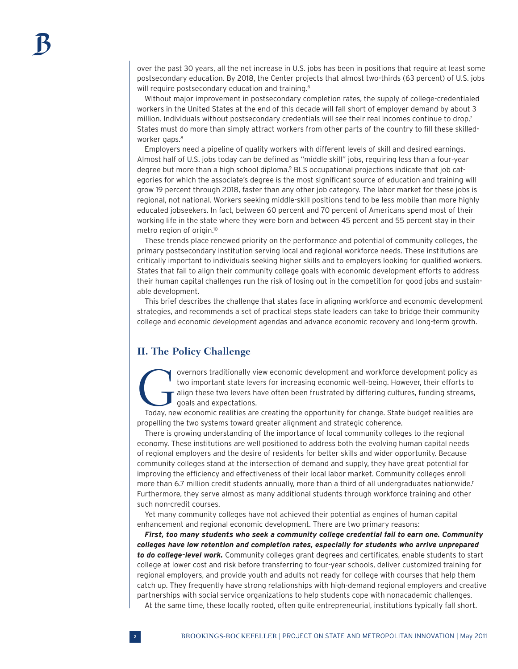over the past 30 years, all the net increase in U.S. jobs has been in positions that require at least some postsecondary education. By 2018, the Center projects that almost two-thirds (63 percent) of U.S. jobs will require postsecondary education and training.<sup>6</sup>

Without major improvement in postsecondary completion rates, the supply of college-credentialed workers in the United States at the end of this decade will fall short of employer demand by about 3 million. Individuals without postsecondary credentials will see their real incomes continue to drop.7 States must do more than simply attract workers from other parts of the country to fill these skilledworker gaps.<sup>8</sup>

Employers need a pipeline of quality workers with different levels of skill and desired earnings. Almost half of U.S. jobs today can be defined as "middle skill" jobs, requiring less than a four-year degree but more than a high school diploma.9 BLS occupational projections indicate that job categories for which the associate's degree is the most significant source of education and training will grow 19 percent through 2018, faster than any other job category. The labor market for these jobs is regional, not national. Workers seeking middle-skill positions tend to be less mobile than more highly educated jobseekers. In fact, between 60 percent and 70 percent of Americans spend most of their working life in the state where they were born and between 45 percent and 55 percent stay in their metro region of origin.10

These trends place renewed priority on the performance and potential of community colleges, the primary postsecondary institution serving local and regional workforce needs. These institutions are critically important to individuals seeking higher skills and to employers looking for qualified workers. States that fail to align their community college goals with economic development efforts to address their human capital challenges run the risk of losing out in the competition for good jobs and sustainable development.

This brief describes the challenge that states face in aligning workforce and economic development strategies, and recommends a set of practical steps state leaders can take to bridge their community college and economic development agendas and advance economic recovery and long-term growth.

# **II. The Policy Challenge**

The overnors traditionally view economic development and workforce development policy as<br>two important state levers for increasing economic well-being. However, their efforts to<br>align these two levers have often been frust two important state levers for increasing economic well-being. However, their efforts to align these two levers have often been frustrated by differing cultures, funding streams, goals and expectations.

Today, new economic realities are creating the opportunity for change. State budget realities are propelling the two systems toward greater alignment and strategic coherence.

There is growing understanding of the importance of local community colleges to the regional economy. These institutions are well positioned to address both the evolving human capital needs of regional employers and the desire of residents for better skills and wider opportunity. Because community colleges stand at the intersection of demand and supply, they have great potential for improving the efficiency and effectiveness of their local labor market. Community colleges enroll more than 6.7 million credit students annually, more than a third of all undergraduates nationwide.<sup>11</sup> Furthermore, they serve almost as many additional students through workforce training and other such non-credit courses.

Yet many community colleges have not achieved their potential as engines of human capital enhancement and regional economic development. There are two primary reasons:

*First, too many students who seek a community college credential fail to earn one. Community colleges have low retention and completion rates, especially for students who arrive unprepared to do college-level work.* Community colleges grant degrees and certificates, enable students to start college at lower cost and risk before transferring to four-year schools, deliver customized training for regional employers, and provide youth and adults not ready for college with courses that help them catch up. They frequently have strong relationships with high-demand regional employers and creative partnerships with social service organizations to help students cope with nonacademic challenges.

At the same time, these locally rooted, often quite entrepreneurial, institutions typically fall short.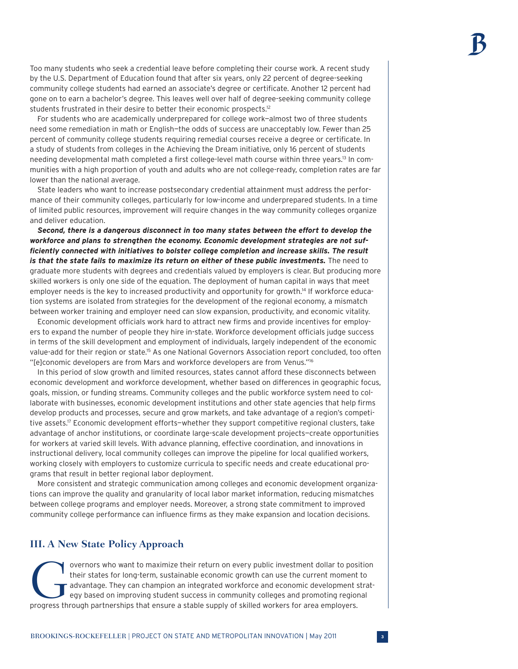Too many students who seek a credential leave before completing their course work. A recent study by the U.S. Department of Education found that after six years, only 22 percent of degree-seeking community college students had earned an associate's degree or certificate. Another 12 percent had gone on to earn a bachelor's degree. This leaves well over half of degree-seeking community college students frustrated in their desire to better their economic prospects.12

For students who are academically underprepared for college work—almost two of three students need some remediation in math or English—the odds of success are unacceptably low. Fewer than 25 percent of community college students requiring remedial courses receive a degree or certificate. In a study of students from colleges in the Achieving the Dream initiative, only 16 percent of students needing developmental math completed a first college-level math course within three years.13 In communities with a high proportion of youth and adults who are not college-ready, completion rates are far lower than the national average.

State leaders who want to increase postsecondary credential attainment must address the performance of their community colleges, particularly for low-income and underprepared students. In a time of limited public resources, improvement will require changes in the way community colleges organize and deliver education.

*Second, there is a dangerous disconnect in too many states between the effort to develop the workforce and plans to strengthen the economy. Economic development strategies are not sufficiently connected with initiatives to bolster college completion and increase skills. The result is that the state fails to maximize its return on either of these public investments.* The need to graduate more students with degrees and credentials valued by employers is clear. But producing more skilled workers is only one side of the equation. The deployment of human capital in ways that meet employer needs is the key to increased productivity and opportunity for growth.<sup>14</sup> If workforce education systems are isolated from strategies for the development of the regional economy, a mismatch between worker training and employer need can slow expansion, productivity, and economic vitality.

Economic development officials work hard to attract new firms and provide incentives for employers to expand the number of people they hire in-state. Workforce development officials judge success in terms of the skill development and employment of individuals, largely independent of the economic value-add for their region or state.15 As one National Governors Association report concluded, too often "[e]conomic developers are from Mars and workforce developers are from Venus."<sup>16</sup>

In this period of slow growth and limited resources, states cannot afford these disconnects between economic development and workforce development, whether based on differences in geographic focus, goals, mission, or funding streams. Community colleges and the public workforce system need to collaborate with businesses, economic development institutions and other state agencies that help firms develop products and processes, secure and grow markets, and take advantage of a region's competitive assets.<sup>17</sup> Economic development efforts-whether they support competitive regional clusters, take advantage of anchor institutions, or coordinate large-scale development projects—create opportunities for workers at varied skill levels. With advance planning, effective coordination, and innovations in instructional delivery, local community colleges can improve the pipeline for local qualified workers, working closely with employers to customize curricula to specific needs and create educational programs that result in better regional labor deployment.

More consistent and strategic communication among colleges and economic development organizations can improve the quality and granularity of local labor market information, reducing mismatches between college programs and employer needs. Moreover, a strong state commitment to improved community college performance can influence firms as they make expansion and location decisions.

# **III. A New State Policy Approach**

overnors who want to maximize their return on every public investment dollar to position<br>their states for long-term, sustainable economic growth can use the current moment to<br>advantage. They can champion an integrated work their states for long-term, sustainable economic growth can use the current moment to advantage. They can champion an integrated workforce and economic development strategy based on improving student success in community colleges and promoting regional progress through partnerships that ensure a stable supply of skilled workers for area employers.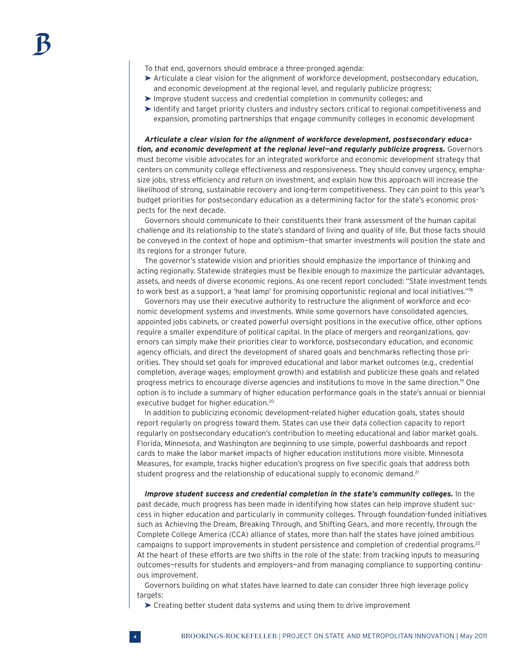- To that end, governors should embrace a three-pronged agenda:
- ➤ Articulate a clear vision for the alignment of workforce development, postsecondary education, and economic development at the regional level, and regularly publicize progress;
- ➤ Improve student success and credential completion in community colleges; and
- ➤ Identify and target priority clusters and industry sectors critical to regional competitiveness and expansion, promoting partnerships that engage community colleges in economic development

*Articulate a clear vision for the alignment of workforce development, postsecondary education, and economic development at the regional level—and regularly publicize progress.* Governors must become visible advocates for an integrated workforce and economic development strategy that centers on community college effectiveness and responsiveness. They should convey urgency, emphasize jobs, stress efficiency and return on investment, and explain how this approach will increase the likelihood of strong, sustainable recovery and long-term competitiveness. They can point to this year's budget priorities for postsecondary education as a determining factor for the state's economic prospects for the next decade.

Governors should communicate to their constituents their frank assessment of the human capital challenge and its relationship to the state's standard of living and quality of life. But those facts should be conveyed in the context of hope and optimism—that smarter investments will position the state and its regions for a stronger future.

The governor's statewide vision and priorities should emphasize the importance of thinking and acting regionally. Statewide strategies must be flexible enough to maximize the particular advantages, assets, and needs of diverse economic regions. As one recent report concluded: "State investment tends to work best as a support, a 'heat lamp' for promising opportunistic regional and local initiatives."<sup>18</sup>

Governors may use their executive authority to restructure the alignment of workforce and economic development systems and investments. While some governors have consolidated agencies, appointed jobs cabinets, or created powerful oversight positions in the executive office, other options require a smaller expenditure of political capital. In the place of mergers and reorganizations, governors can simply make their priorities clear to workforce, postsecondary education, and economic agency officials, and direct the development of shared goals and benchmarks reflecting those priorities. They should set goals for improved educational and labor market outcomes (e.g., credential completion, average wages, employment growth) and establish and publicize these goals and related progress metrics to encourage diverse agencies and institutions to move in the same direction.<sup>19</sup> One option is to include a summary of higher education performance goals in the state's annual or biennial executive budget for higher education.20

In addition to publicizing economic development-related higher education goals, states should report regularly on progress toward them. States can use their data collection capacity to report regularly on postsecondary education's contribution to meeting educational and labor market goals. Florida, Minnesota, and Washington are beginning to use simple, powerful dashboards and report cards to make the labor market impacts of higher education institutions more visible. Minnesota Measures, for example, tracks higher education's progress on five specific goals that address both student progress and the relationship of educational supply to economic demand.<sup>21</sup>

*Improve student success and credential completion in the state's community colleges.* In the past decade, much progress has been made in identifying how states can help improve student success in higher education and particularly in community colleges. Through foundation-funded initiatives such as Achieving the Dream, Breaking Through, and Shifting Gears, and more recently, through the Complete College America (CCA) alliance of states, more than half the states have joined ambitious campaigns to support improvements in student persistence and completion of credential programs.<sup>22</sup> At the heart of these efforts are two shifts in the role of the state: from tracking inputs to measuring outcomes—results for students and employers—and from managing compliance to supporting continuous improvement.

Governors building on what states have learned to date can consider three high leverage policy targets:

➤ Creating better student data systems and using them to drive improvement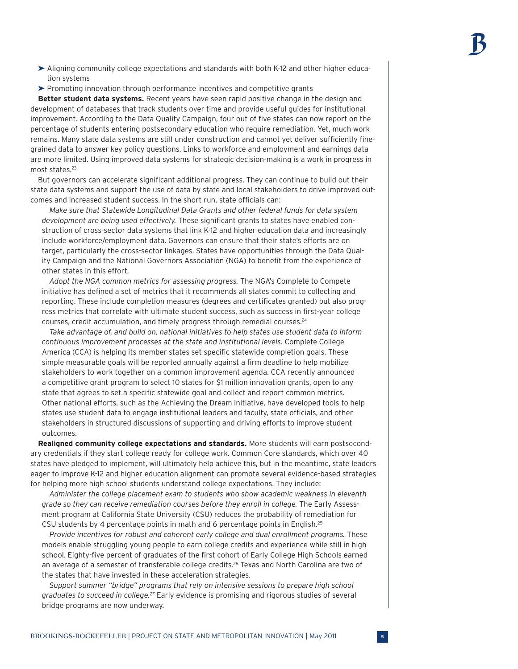- ➤ Aligning community college expectations and standards with both K-12 and other higher education systems
- ➤ Promoting innovation through performance incentives and competitive grants

**Better student data systems.** Recent years have seen rapid positive change in the design and development of databases that track students over time and provide useful guides for institutional improvement. According to the Data Quality Campaign, four out of five states can now report on the percentage of students entering postsecondary education who require remediation. Yet, much work remains. Many state data systems are still under construction and cannot yet deliver sufficiently finegrained data to answer key policy questions. Links to workforce and employment and earnings data are more limited. Using improved data systems for strategic decision-making is a work in progress in most states.<sup>23</sup>

But governors can accelerate significant additional progress. They can continue to build out their state data systems and support the use of data by state and local stakeholders to drive improved outcomes and increased student success. In the short run, state officials can:

*Make sure that Statewide Longitudinal Data Grants and other federal funds for data system development are being used effectively.* These significant grants to states have enabled construction of cross-sector data systems that link K-12 and higher education data and increasingly include workforce/employment data. Governors can ensure that their state's efforts are on target, particularly the cross-sector linkages. States have opportunities through the Data Quality Campaign and the National Governors Association (NGA) to benefit from the experience of other states in this effort.

*Adopt the NGA common metrics for assessing progress.* The NGA's Complete to Compete initiative has defined a set of metrics that it recommends all states commit to collecting and reporting. These include completion measures (degrees and certificates granted) but also progress metrics that correlate with ultimate student success, such as success in first-year college courses, credit accumulation, and timely progress through remedial courses.24

*Take advantage of, and build on, national initiatives to help states use student data to inform continuous improvement processes at the state and institutional levels.* Complete College America (CCA) is helping its member states set specific statewide completion goals. These simple measurable goals will be reported annually against a firm deadline to help mobilize stakeholders to work together on a common improvement agenda. CCA recently announced a competitive grant program to select 10 states for \$1 million innovation grants, open to any state that agrees to set a specific statewide goal and collect and report common metrics. Other national efforts, such as the Achieving the Dream initiative, have developed tools to help states use student data to engage institutional leaders and faculty, state officials, and other stakeholders in structured discussions of supporting and driving efforts to improve student outcomes.

**Realigned community college expectations and standards.** More students will earn postsecondary credentials if they start college ready for college work. Common Core standards, which over 40 states have pledged to implement, will ultimately help achieve this, but in the meantime, state leaders eager to improve K-12 and higher education alignment can promote several evidence-based strategies for helping more high school students understand college expectations. They include:

*Administer the college placement exam to students who show academic weakness in eleventh grade so they can receive remediation courses before they enroll in college.* The Early Assessment program at California State University (CSU) reduces the probability of remediation for CSU students by 4 percentage points in math and 6 percentage points in English.25

*Provide incentives for robust and coherent early college and dual enrollment programs.* These models enable struggling young people to earn college credits and experience while still in high school. Eighty-five percent of graduates of the first cohort of Early College High Schools earned an average of a semester of transferable college credits.26 Texas and North Carolina are two of the states that have invested in these acceleration strategies.

*Support summer "bridge" programs that rely on intensive sessions to prepare high school graduates to succeed in college.27* Early evidence is promising and rigorous studies of several bridge programs are now underway.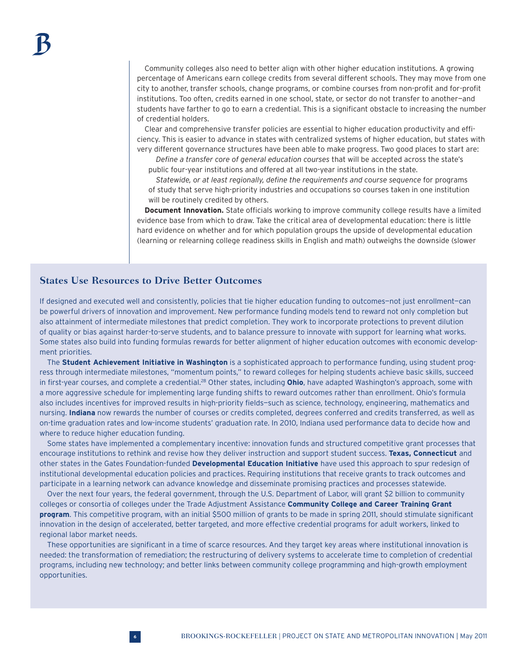Community colleges also need to better align with other higher education institutions. A growing percentage of Americans earn college credits from several different schools. They may move from one city to another, transfer schools, change programs, or combine courses from non-profit and for-profit institutions. Too often, credits earned in one school, state, or sector do not transfer to another—and students have farther to go to earn a credential. This is a significant obstacle to increasing the number of credential holders.

Clear and comprehensive transfer policies are essential to higher education productivity and efficiency. This is easier to advance in states with centralized systems of higher education, but states with very different governance structures have been able to make progress. Two good places to start are:

*Define a transfer core of general education courses* that will be accepted across the state's public four-year institutions and offered at all two-year institutions in the state.

*Statewide, or at least regionally, define the requirements and course sequence* for programs of study that serve high-priority industries and occupations so courses taken in one institution will be routinely credited by others.

**Document Innovation.** State officials working to improve community college results have a limited evidence base from which to draw. Take the critical area of developmental education: there is little hard evidence on whether and for which population groups the upside of developmental education (learning or relearning college readiness skills in English and math) outweighs the downside (slower

# **States Use Resources to Drive Better Outcomes**

If designed and executed well and consistently, policies that tie higher education funding to outcomes-not just enrollment-can be powerful drivers of innovation and improvement. New performance funding models tend to reward not only completion but also attainment of intermediate milestones that predict completion. They work to incorporate protections to prevent dilution of quality or bias against harder-to-serve students, and to balance pressure to innovate with support for learning what works. Some states also build into funding formulas rewards for better alignment of higher education outcomes with economic development priorities.

The **Student Achievement Initiative in Washington** is a sophisticated approach to performance funding, using student progress through intermediate milestones, "momentum points," to reward colleges for helping students achieve basic skills, succeed in first-year courses, and complete a credential.28 Other states, including **Ohio**, have adapted Washington's approach, some with a more aggressive schedule for implementing large funding shifts to reward outcomes rather than enrollment. Ohio's formula also includes incentives for improved results in high-priority fields—such as science, technology, engineering, mathematics and nursing. **Indiana** now rewards the number of courses or credits completed, degrees conferred and credits transferred, as well as on-time graduation rates and low-income students' graduation rate. In 2010, Indiana used performance data to decide how and where to reduce higher education funding.

Some states have implemented a complementary incentive: innovation funds and structured competitive grant processes that encourage institutions to rethink and revise how they deliver instruction and support student success. **Texas, Connecticut** and other states in the Gates Foundation-funded **Developmental Education Initiative** have used this approach to spur redesign of institutional developmental education policies and practices. Requiring institutions that receive grants to track outcomes and participate in a learning network can advance knowledge and disseminate promising practices and processes statewide.

Over the next four years, the federal government, through the U.S. Department of Labor, will grant \$2 billion to community colleges or consortia of colleges under the Trade Adjustment Assistance **Community College and Career Training Grant program**. This competitive program, with an initial \$500 million of grants to be made in spring 2011, should stimulate significant innovation in the design of accelerated, better targeted, and more effective credential programs for adult workers, linked to regional labor market needs.

These opportunities are significant in a time of scarce resources. And they target key areas where institutional innovation is needed: the transformation of remediation; the restructuring of delivery systems to accelerate time to completion of credential programs, including new technology; and better links between community college programming and high-growth employment opportunities.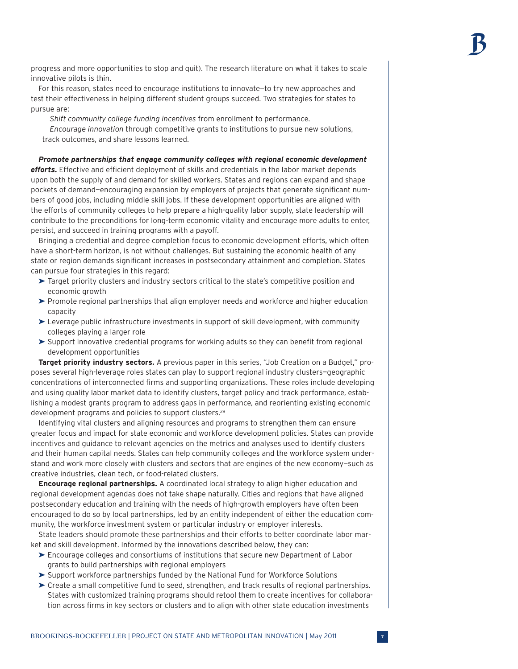progress and more opportunities to stop and quit). The research literature on what it takes to scale innovative pilots is thin.

For this reason, states need to encourage institutions to innovate—to try new approaches and test their effectiveness in helping different student groups succeed. Two strategies for states to pursue are:

*Shift community college funding incentives* from enrollment to performance.

*Encourage innovation* through competitive grants to institutions to pursue new solutions, track outcomes, and share lessons learned.

*Promote partnerships that engage community colleges with regional economic development efforts.* Effective and efficient deployment of skills and credentials in the labor market depends upon both the supply of and demand for skilled workers. States and regions can expand and shape pockets of demand—encouraging expansion by employers of projects that generate significant numbers of good jobs, including middle skill jobs. If these development opportunities are aligned with the efforts of community colleges to help prepare a high-quality labor supply, state leadership will contribute to the preconditions for long-term economic vitality and encourage more adults to enter, persist, and succeed in training programs with a payoff.

Bringing a credential and degree completion focus to economic development efforts, which often have a short-term horizon, is not without challenges. But sustaining the economic health of any state or region demands significant increases in postsecondary attainment and completion. States can pursue four strategies in this regard:

- ➤ Target priority clusters and industry sectors critical to the state's competitive position and economic growth
- ➤ Promote regional partnerships that align employer needs and workforce and higher education capacity
- ➤ Leverage public infrastructure investments in support of skill development, with community colleges playing a larger role
- ➤ Support innovative credential programs for working adults so they can benefit from regional development opportunities

**Target priority industry sectors.** A previous paper in this series, "Job Creation on a Budget," proposes several high-leverage roles states can play to support regional industry clusters—geographic concentrations of interconnected firms and supporting organizations. These roles include developing and using quality labor market data to identify clusters, target policy and track performance, establishing a modest grants program to address gaps in performance, and reorienting existing economic development programs and policies to support clusters.<sup>29</sup>

Identifying vital clusters and aligning resources and programs to strengthen them can ensure greater focus and impact for state economic and workforce development policies. States can provide incentives and guidance to relevant agencies on the metrics and analyses used to identify clusters and their human capital needs. States can help community colleges and the workforce system understand and work more closely with clusters and sectors that are engines of the new economy—such as creative industries, clean tech, or food-related clusters.

**Encourage regional partnerships.** A coordinated local strategy to align higher education and regional development agendas does not take shape naturally. Cities and regions that have aligned postsecondary education and training with the needs of high-growth employers have often been encouraged to do so by local partnerships, led by an entity independent of either the education community, the workforce investment system or particular industry or employer interests.

State leaders should promote these partnerships and their efforts to better coordinate labor market and skill development. Informed by the innovations described below, they can:

- ➤ Encourage colleges and consortiums of institutions that secure new Department of Labor grants to build partnerships with regional employers
- ➤ Support workforce partnerships funded by the National Fund for Workforce Solutions
- ➤ Create a small competitive fund to seed, strengthen, and track results of regional partnerships. States with customized training programs should retool them to create incentives for collaboration across firms in key sectors or clusters and to align with other state education investments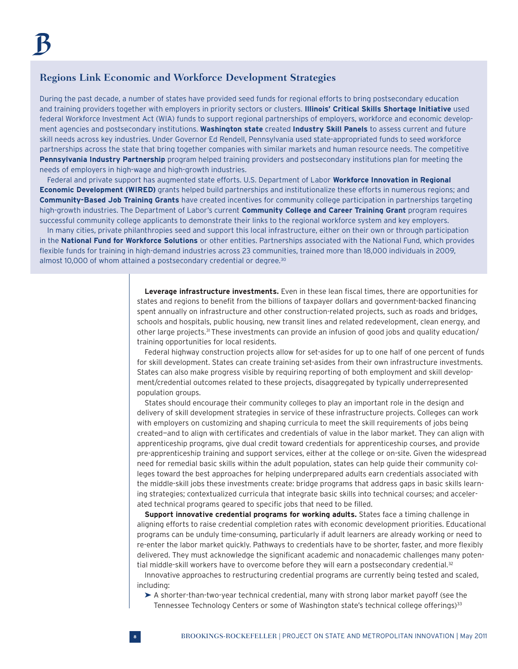# **Regions Link Economic and Workforce Development Strategies**

During the past decade, a number of states have provided seed funds for regional efforts to bring postsecondary education and training providers together with employers in priority sectors or clusters. **Illinois' Critical Skills Shortage Initiative** used federal Workforce Investment Act (WIA) funds to support regional partnerships of employers, workforce and economic development agencies and postsecondary institutions. **Washington state** created **Industry Skill Panels** to assess current and future skill needs across key industries. Under Governor Ed Rendell, Pennsylvania used state-appropriated funds to seed workforce partnerships across the state that bring together companies with similar markets and human resource needs. The competitive **Pennsylvania Industry Partnership** program helped training providers and postsecondary institutions plan for meeting the needs of employers in high-wage and high-growth industries.

Federal and private support has augmented state efforts. U.S. Department of Labor **Workforce Innovation in Regional Economic Development (WIRED)** grants helped build partnerships and institutionalize these efforts in numerous regions; and **Community-Based Job Training Grants** have created incentives for community college participation in partnerships targeting high-growth industries. The Department of Labor's current **Community College and Career Training Grant** program requires successful community college applicants to demonstrate their links to the regional workforce system and key employers.

In many cities, private philanthropies seed and support this local infrastructure, either on their own or through participation in the **National Fund for Workforce Solutions** or other entities. Partnerships associated with the National Fund, which provides flexible funds for training in high-demand industries across 23 communities, trained more than 18,000 individuals in 2009, almost 10,000 of whom attained a postsecondary credential or degree.<sup>30</sup>

> **Leverage infrastructure investments.** Even in these lean fiscal times, there are opportunities for states and regions to benefit from the billions of taxpayer dollars and government-backed financing spent annually on infrastructure and other construction-related projects, such as roads and bridges, schools and hospitals, public housing, new transit lines and related redevelopment, clean energy, and other large projects.31 These investments can provide an infusion of good jobs and quality education/ training opportunities for local residents.

Federal highway construction projects allow for set-asides for up to one half of one percent of funds for skill development. States can create training set-asides from their own infrastructure investments. States can also make progress visible by requiring reporting of both employment and skill development/credential outcomes related to these projects, disaggregated by typically underrepresented population groups.

States should encourage their community colleges to play an important role in the design and delivery of skill development strategies in service of these infrastructure projects. Colleges can work with employers on customizing and shaping curricula to meet the skill requirements of jobs being created—and to align with certificates and credentials of value in the labor market. They can align with apprenticeship programs, give dual credit toward credentials for apprenticeship courses, and provide pre-apprenticeship training and support services, either at the college or on-site. Given the widespread need for remedial basic skills within the adult population, states can help guide their community colleges toward the best approaches for helping underprepared adults earn credentials associated with the middle-skill jobs these investments create: bridge programs that address gaps in basic skills learning strategies; contextualized curricula that integrate basic skills into technical courses; and accelerated technical programs geared to specific jobs that need to be filled.

**Support innovative credential programs for working adults.** States face a timing challenge in aligning efforts to raise credential completion rates with economic development priorities. Educational programs can be unduly time-consuming, particularly if adult learners are already working or need to re-enter the labor market quickly. Pathways to credentials have to be shorter, faster, and more flexibly delivered. They must acknowledge the significant academic and nonacademic challenges many potential middle-skill workers have to overcome before they will earn a postsecondary credential.<sup>32</sup>

Innovative approaches to restructuring credential programs are currently being tested and scaled, including:

➤ A shorter-than-two-year technical credential, many with strong labor market payoff (see the Tennessee Technology Centers or some of Washington state's technical college offerings)<sup>33</sup>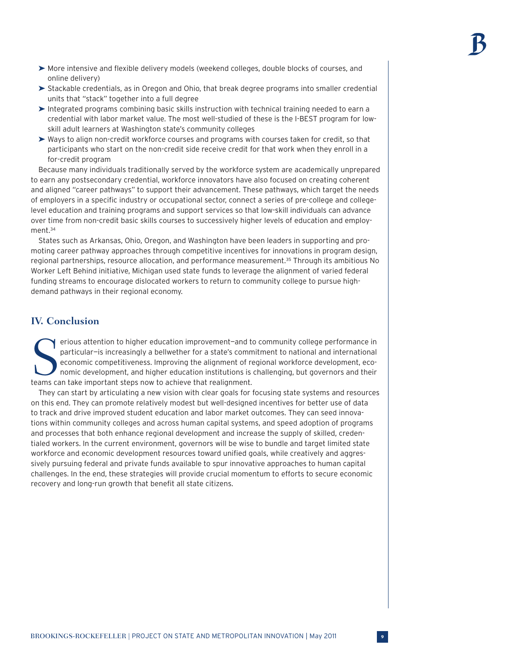- ➤ More intensive and flexible delivery models (weekend colleges, double blocks of courses, and online delivery)
- ➤ Stackable credentials, as in Oregon and Ohio, that break degree programs into smaller credential units that "stack" together into a full degree
- ➤ Integrated programs combining basic skills instruction with technical training needed to earn a credential with labor market value. The most well-studied of these is the I-BEST program for lowskill adult learners at Washington state's community colleges
- ➤ Ways to align non-credit workforce courses and programs with courses taken for credit, so that participants who start on the non-credit side receive credit for that work when they enroll in a for-credit program

Because many individuals traditionally served by the workforce system are academically unprepared to earn any postsecondary credential, workforce innovators have also focused on creating coherent and aligned "career pathways" to support their advancement. These pathways, which target the needs of employers in a specific industry or occupational sector, connect a series of pre-college and collegelevel education and training programs and support services so that low-skill individuals can advance over time from non-credit basic skills courses to successively higher levels of education and employment.34

States such as Arkansas, Ohio, Oregon, and Washington have been leaders in supporting and promoting career pathway approaches through competitive incentives for innovations in program design, regional partnerships, resource allocation, and performance measurement.<sup>35</sup> Through its ambitious No Worker Left Behind initiative, Michigan used state funds to leverage the alignment of varied federal funding streams to encourage dislocated workers to return to community college to pursue highdemand pathways in their regional economy.

# **IV. Conclusion**

erious attention to higher education improvement-and t<br>particular-is increasingly a bellwether for a state's comm<br>economic competitiveness. Improving the alignment of r<br>nomic development, and higher education institutions erious attention to higher education improvement—and to community college performance in particular—is increasingly a bellwether for a state's commitment to national and international economic competitiveness. Improving the alignment of regional workforce development, economic development, and higher education institutions is challenging, but governors and their

They can start by articulating a new vision with clear goals for focusing state systems and resources on this end. They can promote relatively modest but well-designed incentives for better use of data to track and drive improved student education and labor market outcomes. They can seed innovations within community colleges and across human capital systems, and speed adoption of programs and processes that both enhance regional development and increase the supply of skilled, credentialed workers. In the current environment, governors will be wise to bundle and target limited state workforce and economic development resources toward unified goals, while creatively and aggressively pursuing federal and private funds available to spur innovative approaches to human capital challenges. In the end, these strategies will provide crucial momentum to efforts to secure economic recovery and long-run growth that benefit all state citizens.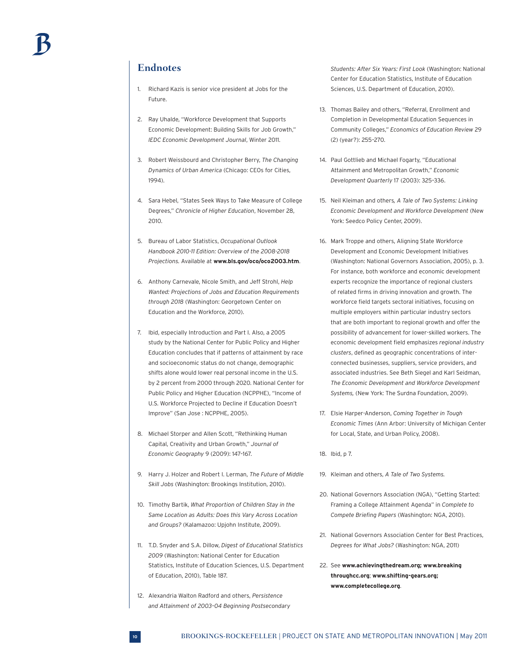# **Endnotes**

- 1. Richard Kazis is senior vice president at Jobs for the Future.
- 2. Ray Uhalde, "Workforce Development that Supports Economic Development: Building Skills for Job Growth," *IEDC Economic Development Journal*, Winter 2011.
- 3. Robert Weissbourd and Christopher Berry, *The Changing Dynamics of Urban America* (Chicago: CEOs for Cities, 1994).
- 4. Sara Hebel, "States Seek Ways to Take Measure of College Degrees," *Chronicle of Higher Education*, November 28, 2010.
- 5. Bureau of Labor Statistics, *Occupational Outlook Handbook 2010-11 Edition: Overview of the 2008-2018 Projections.* Available at **www.bls.gov/oco/oco2003.htm**.
- 6. Anthony Carnevale, Nicole Smith, and Jeff Strohl, *Help Wanted: Projections of Jobs and Education Requirements through 2018* (Washington: Georgetown Center on Education and the Workforce, 2010).
- 7. Ibid, especially Introduction and Part I. Also, a 2005 study by the National Center for Public Policy and Higher Education concludes that if patterns of attainment by race and socioeconomic status do not change, demographic shifts alone would lower real personal income in the U.S. by 2 percent from 2000 through 2020. National Center for Public Policy and Higher Education (NCPPHE), "Income of U.S. Workforce Projected to Decline if Education Doesn't Improve" (San Jose : NCPPHE, 2005).
- 8. Michael Storper and Allen Scott, "Rethinking Human Capital, Creativity and Urban Growth," *Journal of Economic Geography* 9 (2009): 147–167.
- 9. Harry J. Holzer and Robert I. Lerman, *The Future of Middle Skill Jobs* (Washington: Brookings Institution, 2010).
- 10. Timothy Bartik, *What Proportion of Children Stay in the Same Location as Adults: Does this Vary Across Location and Groups?* (Kalamazoo: Upjohn Institute, 2009).
- 11. T.D. Snyder and S.A. Dillow, *Digest of Educational Statistics 2009* (Washington: National Center for Education Statistics, Institute of Education Sciences, U.S. Department of Education, 2010), Table 187.
- 12. Alexandria Walton Radford and others, *Persistence and Attainment of 2003–04 Beginning Postsecondary*

*Students: After Six Years: First Look* (Washington: National Center for Education Statistics, Institute of Education Sciences, U.S. Department of Education, 2010).

- 13. Thomas Bailey and others, "Referral, Enrollment and Completion in Developmental Education Sequences in Community Colleges," *Economics of Education Review* 29 (2) (year?): 255–270.
- 14. Paul Gottlieb and Michael Fogarty, "Educational Attainment and Metropolitan Growth," *Economic Development Quarterly* 17 (2003): 325–336.
- 15. Neil Kleiman and others*, A Tale of Two Systems: Linking Economic Development and Workforce Development* (New York: Seedco Policy Center, 2009).
- 16. Mark Troppe and others, Aligning State Workforce Development and Economic Development Initiatives (Washington: National Governors Association, 2005), p. 3. For instance, both workforce and economic development experts recognize the importance of regional clusters of related firms in driving innovation and growth. The workforce field targets sectoral initiatives, focusing on multiple employers within particular industry sectors that are both important to regional growth and offer the possibility of advancement for lower-skilled workers. The economic development field emphasizes *regional industry clusters*, defined as geographic concentrations of interconnected businesses, suppliers, service providers, and associated industries. See Beth Siegel and Karl Seidman, *The Economic Development and Workforce Development Systems,* (New York: The Surdna Foundation, 2009).
- 17. Elsie Harper-Anderson, *Coming Together in Tough Economic Times* (Ann Arbor: University of Michigan Center for Local, State, and Urban Policy, 2008).
- 18. Ibid, p 7.
- 19. Kleiman and others, *A Tale of Two Systems.*
- 20. National Governors Association (NGA), "Getting Started: Framing a College Attainment Agenda" in *Complete to Compete Briefing Papers* (Washington: NGA, 2010).
- 21. National Governors Association Center for Best Practices, *Degrees for What Jobs?* (Washington: NGA, 2011)
- 22. See **www.achievingthedream.org; www.breaking throughcc.org**; **www.shifting-gears.org; www.completecollege.org**.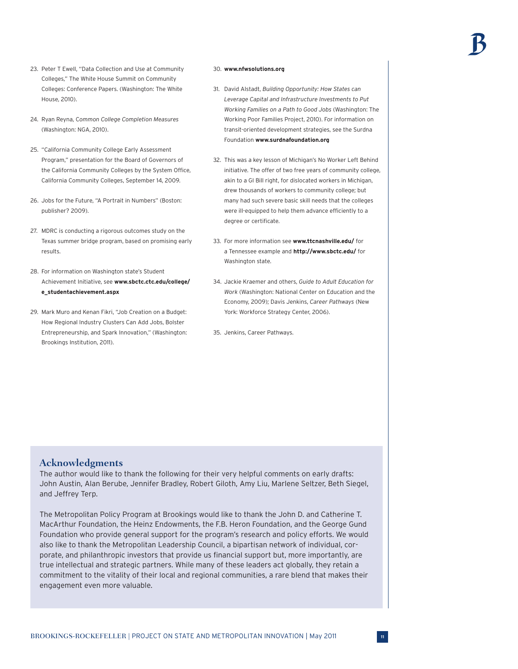- 23. Peter T Ewell, "Data Collection and Use at Community Colleges," The White House Summit on Community Colleges: Conference Papers. (Washington: The White House, 2010).
- 24. Ryan Reyna, C*ommon College Completion Measures*  (Washington: NGA, 2010).
- 25. "California Community College Early Assessment Program," presentation for the Board of Governors of the California Community Colleges by the System Office, California Community Colleges, September 14, 2009.
- 26. Jobs for the Future, "A Portrait in Numbers" (Boston: publisher? 2009).
- 27. MDRC is conducting a rigorous outcomes study on the Texas summer bridge program, based on promising early results.
- 28. For information on Washington state's Student Achievement Initiative, see **www.sbctc.ctc.edu/college/ e\_studentachievement.aspx**
- 29. Mark Muro and Kenan Fikri, "Job Creation on a Budget: How Regional Industry Clusters Can Add Jobs, Bolster Entrepreneurship, and Spark Innovation," (Washington: Brookings Institution, 2011).

#### 30. **www.nfwsolutions.org**

- 31. David Alstadt, *Building Opportunity: How States can Leverage Capital and Infrastructure Investments to Put Working Families on a Path to Good Jobs* (Washington: The Working Poor Families Project, 2010). For information on transit-oriented development strategies, see the Surdna Foundation **www.surdnafoundation.org**
- 32. This was a key lesson of Michigan's No Worker Left Behind initiative. The offer of two free years of community college, akin to a GI Bill right, for dislocated workers in Michigan, drew thousands of workers to community college; but many had such severe basic skill needs that the colleges were ill-equipped to help them advance efficiently to a degree or certificate.
- 33. For more information see **www.ttcnashville.edu/** for a Tennessee example and **http://www.sbctc.edu/** for Washington state.
- 34. Jackie Kraemer and others, *Guide to Adult Education for Work* (Washington: National Center on Education and the Economy, 2009); Davis Jenkins, *Career Pathways* (New York: Workforce Strategy Center, 2006).
- 35. Jenkins, Career Pathways.

## **Acknowledgments**

The author would like to thank the following for their very helpful comments on early drafts: John Austin, Alan Berube, Jennifer Bradley, Robert Giloth, Amy Liu, Marlene Seltzer, Beth Siegel, and Jeffrey Terp.

The Metropolitan Policy Program at Brookings would like to thank the John D. and Catherine T. MacArthur Foundation, the Heinz Endowments, the F.B. Heron Foundation, and the George Gund Foundation who provide general support for the program's research and policy efforts. We would also like to thank the Metropolitan Leadership Council, a bipartisan network of individual, corporate, and philanthropic investors that provide us financial support but, more importantly, are true intellectual and strategic partners. While many of these leaders act globally, they retain a commitment to the vitality of their local and regional communities, a rare blend that makes their engagement even more valuable.